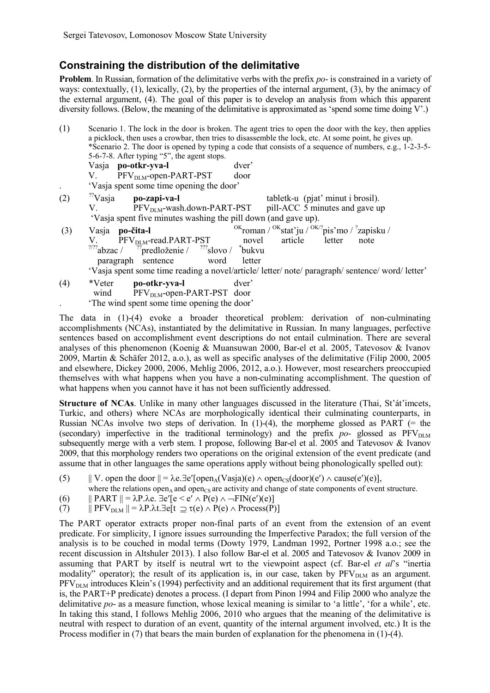## **Constraining the distribution of the delimitative**

**Problem**. In Russian, formation of the delimitative verbs with the prefix *po*- is constrained in a variety of ways: contextually, (1), lexically, (2), by the properties of the internal argument, (3), by the animacy of the external argument, (4). The goal of this paper is to develop an analysis from which this apparent diversity follows. (Below, the meaning of the delimitative is approximated as 'spend some time doing V'.)

| (1) | Scenario 1. The lock in the door is broken. The agent tries to open the door with the key, then applies<br>a picklock, then uses a crowbar, then tries to disassemble the lock, etc. At some point, he gives up.<br>*Scenario 2. The door is opened by typing a code that consists of a sequence of numbers, e.g., 1-2-3-5-<br>5-6-7-8. After typing "5", the agent stops. |
|-----|----------------------------------------------------------------------------------------------------------------------------------------------------------------------------------------------------------------------------------------------------------------------------------------------------------------------------------------------------------------------------|
|     | Vasja po-otkr-yva-l<br>dver'                                                                                                                                                                                                                                                                                                                                               |
|     | V. PFV <sub>DLM</sub> -open-PART-PST<br>door<br>'Vasja spent some time opening the door'                                                                                                                                                                                                                                                                                   |
| (2) | $\frac{22}{12}$ Vasja po-zapi-va-l<br>tabletk-u (pjat' minut i brosil).                                                                                                                                                                                                                                                                                                    |
|     | $PFV_{\text{DIM}}$ -wash.down-PART-PST pill-ACC 5 minutes and gave up<br>V.<br>'Vasja spent five minutes washing the pill down (and gave up).                                                                                                                                                                                                                              |
| (3) | $\alpha$ Kroman / $\alpha$ Kstat'ju / $\alpha$ K $\alpha$ 'pis'mo / 'zapisku /<br>Vasja po-čita-l                                                                                                                                                                                                                                                                          |
|     | V. PFV <sub>DLM</sub> -read.PART-PST novel<br>article letter<br>note<br>$\frac{777}{2}$ abzac / $\frac{77}{2}$ redloženie / $\frac{777}{2}$ slovo / $\frac{4}{3}$ bukvu<br>paragraph sentence word<br>letter                                                                                                                                                               |
|     | 'Vasja spent some time reading a novel/article/ letter/ note/ paragraph/ sentence/ word/ letter'                                                                                                                                                                                                                                                                           |
| (4) | *Veter<br>dver'<br>po-otkr-yva-l<br>wind PFV <sub>DLM</sub> -open-PART-PST door                                                                                                                                                                                                                                                                                            |
|     | The wind spent some time opening the door'                                                                                                                                                                                                                                                                                                                                 |

The data in (1)-(4) evoke a broader theoretical problem: derivation of non-culminating accomplishments (NCAs), instantiated by the delimitative in Russian. In many languages, perfective sentences based on accomplishment event descriptions do not entail culmination. There are several analyses of this phenomenon (Koenig & Muansuwan 2000, Bar-el et al. 2005, Tatevosov & Ivanov 2009, Martin & Schäfer 2012, a.o.), as well as specific analyses of the delimitative (Filip 2000, 2005 and elsewhere, Dickey 2000, 2006, Mehlig 2006, 2012, a.o.). However, most researchers preoccupied themselves with what happens when you have a non-culminating accomplishment. The question of what happens when you cannot have it has not been sufficiently addressed.

**Structure of NCAs**. Unlike in many other languages discussed in the literature (Thai, St'át'imcets, Turkic, and others) where NCAs are morphologically identical their culminating counterparts, in Russian NCAs involve two steps of derivation. In  $(1)-(4)$ , the morpheme glossed as PART (= the (secondary) imperfective in the traditional terminology) and the prefix  $po$ - glossed as  $PFV<sub>DLM</sub>$ subsequently merge with a verb stem. I propose, following Bar-el et al. 2005 and Tatevosov & Ivanov 2009, that this morphology renders two operations on the original extension of the event predicate (and assume that in other languages the same operations apply without being phonologically spelled out):

- (5)  $|| V.$  open the door  $|| = \lambda e \cdot \exists e'$ [open<sub>A</sub>(Vasja)(e)  $\land$  open<sub>CS</sub>(door)(e')  $\land$  cause(e')(e)],
- where the relations open<sub>A</sub> and open<sub>CS</sub> are activity and change of state components of event structure.
- (6)  $||$  PART  $|| = \lambda P \cdot \lambda e$ .  $\exists e' [e < e' \land P(e) \land \neg FIN(e')(e)]$
- (7)  $||$  PFV<sub>DLM</sub>  $|| = \lambda P \cdot \lambda t \cdot \exists e[t \supseteq \tau(e) \wedge P(e) \wedge \text{Process}(P)]$

The PART operator extracts proper non-final parts of an event from the extension of an event predicate. For simplicity, I ignore issues surrounding the Imperfective Paradox; the full version of the analysis is to be couched in modal terms (Dowty 1979, Landman 1992, Portner 1998 a.o.; see the recent discussion in Altshuler 2013). I also follow Bar-el et al. 2005 and Tatevosov & Ivanov 2009 in assuming that PART by itself is neutral wrt to the viewpoint aspect (cf. Bar-el *et al*'s "inertia modality" operator); the result of its application is, in our case, taken by  $PFV<sub>DLM</sub>$  as an argument.  $PFV<sub>DIM</sub>$  introduces Klein's (1994) perfectivity and an additional requirement that its first argument (that is, the PART+P predicate) denotes a process. (I depart from Pinon 1994 and Filip 2000 who analyze the delimitative *po*- as a measure function, whose lexical meaning is similar to 'a little', 'for a while', etc. In taking this stand, I follows Mehlig 2006, 2010 who argues that the meaning of the delimitative is neutral with respect to duration of an event, quantity of the internal argument involved, etc.) It is the Process modifier in (7) that bears the main burden of explanation for the phenomena in (1)-(4).